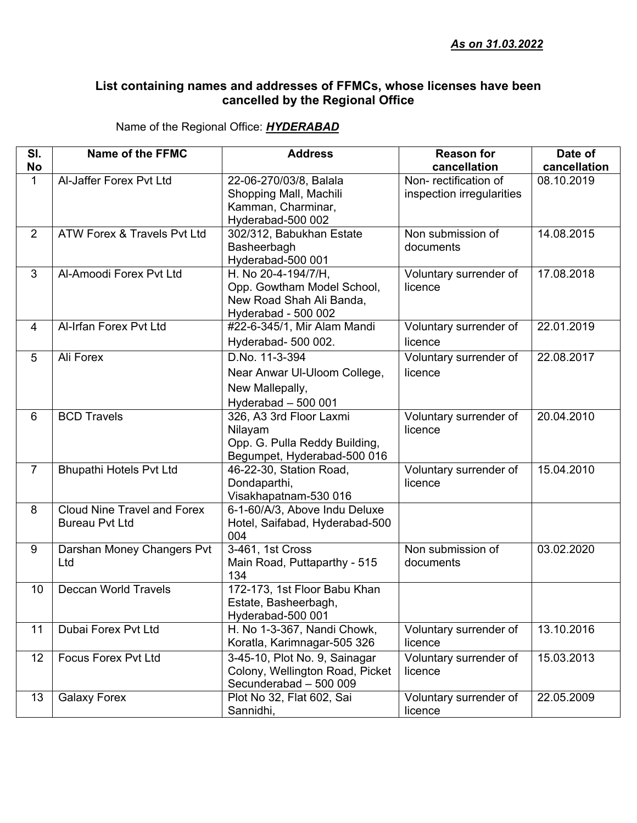## **List containing names and addresses of FFMCs, whose licenses have been cancelled by the Regional Office**

Name of the Regional Office: *HYDERABAD*

| SI.                | Name of the FFMC                   | <b>Address</b>                                         | <b>Reason for</b>                    | Date of                    |
|--------------------|------------------------------------|--------------------------------------------------------|--------------------------------------|----------------------------|
| No<br>$\mathbf{1}$ | Al-Jaffer Forex Pvt Ltd            | 22-06-270/03/8, Balala                                 | cancellation<br>Non-rectification of | cancellation<br>08.10.2019 |
|                    |                                    | Shopping Mall, Machili                                 | inspection irregularities            |                            |
|                    |                                    | Kamman, Charminar,                                     |                                      |                            |
|                    |                                    | Hyderabad-500 002                                      |                                      |                            |
| 2                  | ATW Forex & Travels Pvt Ltd        | 302/312, Babukhan Estate                               | Non submission of                    | 14.08.2015                 |
|                    |                                    | Basheerbagh                                            | documents                            |                            |
|                    |                                    | Hyderabad-500 001                                      |                                      |                            |
| 3                  | Al-Amoodi Forex Pvt Ltd            | H. No 20-4-194/7/H,                                    | Voluntary surrender of               | 17.08.2018                 |
|                    |                                    | Opp. Gowtham Model School,                             | licence                              |                            |
|                    |                                    | New Road Shah Ali Banda,                               |                                      |                            |
|                    |                                    | Hyderabad - 500 002                                    |                                      |                            |
| $\overline{4}$     | Al-Irfan Forex Pvt Ltd             | #22-6-345/1, Mir Alam Mandi                            | Voluntary surrender of               | 22.01.2019                 |
|                    |                                    | Hyderabad- 500 002.                                    | licence                              |                            |
| 5                  | Ali Forex                          | D.No. 11-3-394                                         | Voluntary surrender of               | 22.08.2017                 |
|                    |                                    | Near Anwar UI-Uloom College,                           | licence                              |                            |
|                    |                                    | New Mallepally,                                        |                                      |                            |
|                    |                                    | Hyderabad - 500 001                                    |                                      |                            |
| 6                  | <b>BCD Travels</b>                 | 326, A3 3rd Floor Laxmi                                | Voluntary surrender of               | 20.04.2010                 |
|                    |                                    | Nilayam                                                | licence                              |                            |
|                    |                                    | Opp. G. Pulla Reddy Building,                          |                                      |                            |
|                    |                                    | Begumpet, Hyderabad-500 016                            |                                      |                            |
| $\overline{7}$     | <b>Bhupathi Hotels Pvt Ltd</b>     | 46-22-30, Station Road,                                | Voluntary surrender of               | 15.04.2010                 |
|                    |                                    | Dondaparthi,                                           | licence                              |                            |
| 8                  | <b>Cloud Nine Travel and Forex</b> | Visakhapatnam-530 016<br>6-1-60/A/3, Above Indu Deluxe |                                      |                            |
|                    | <b>Bureau Pvt Ltd</b>              | Hotel, Saifabad, Hyderabad-500                         |                                      |                            |
|                    |                                    | 004                                                    |                                      |                            |
| 9                  | Darshan Money Changers Pvt         | 3-461, 1st Cross                                       | Non submission of                    | 03.02.2020                 |
|                    | Ltd                                | Main Road, Puttaparthy - 515                           | documents                            |                            |
|                    |                                    | 134                                                    |                                      |                            |
| 10                 | <b>Deccan World Travels</b>        | 172-173, 1st Floor Babu Khan                           |                                      |                            |
|                    |                                    | Estate, Basheerbagh,                                   |                                      |                            |
|                    |                                    | Hyderabad-500 001                                      |                                      |                            |
| 11                 | Dubai Forex Pvt Ltd                | H. No 1-3-367, Nandi Chowk,                            | Voluntary surrender of               | 13.10.2016                 |
|                    |                                    | Koratla, Karimnagar-505 326                            | licence                              |                            |
| 12                 | <b>Focus Forex Pvt Ltd</b>         | 3-45-10, Plot No. 9, Sainagar                          | Voluntary surrender of               | 15.03.2013                 |
|                    |                                    | Colony, Wellington Road, Picket                        | licence                              |                            |
|                    |                                    | Secunderabad - 500 009                                 |                                      |                            |
| 13                 | <b>Galaxy Forex</b>                | Plot No 32, Flat 602, Sai                              | Voluntary surrender of               | 22.05.2009                 |
|                    |                                    | Sannidhi,                                              | licence                              |                            |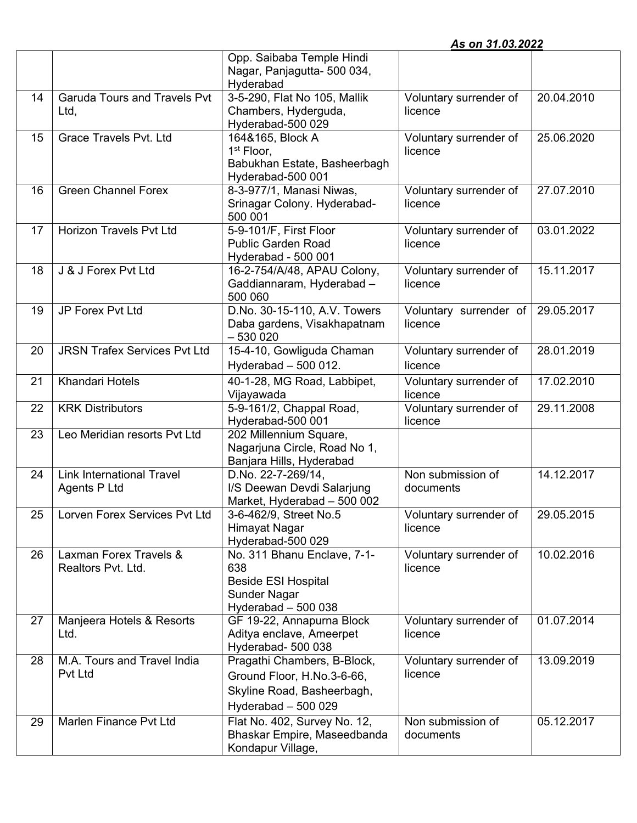|    |                                                  |                                                                                                                | As on 31.03.2022                  |            |
|----|--------------------------------------------------|----------------------------------------------------------------------------------------------------------------|-----------------------------------|------------|
|    |                                                  | Opp. Saibaba Temple Hindi<br>Nagar, Panjagutta- 500 034,<br>Hyderabad                                          |                                   |            |
| 14 | <b>Garuda Tours and Travels Pvt</b><br>Ltd,      | 3-5-290, Flat No 105, Mallik<br>Chambers, Hyderguda,<br>Hyderabad-500 029                                      | Voluntary surrender of<br>licence | 20.04.2010 |
| 15 | <b>Grace Travels Pvt. Ltd</b>                    | 164&165, Block A<br>$1st$ Floor,<br>Babukhan Estate, Basheerbagh<br>Hyderabad-500 001                          | Voluntary surrender of<br>licence | 25.06.2020 |
| 16 | <b>Green Channel Forex</b>                       | 8-3-977/1, Manasi Niwas,<br>Srinagar Colony. Hyderabad-<br>500 001                                             | Voluntary surrender of<br>licence | 27.07.2010 |
| 17 | <b>Horizon Travels Pvt Ltd</b>                   | 5-9-101/F, First Floor<br><b>Public Garden Road</b><br>Hyderabad - 500 001                                     | Voluntary surrender of<br>licence | 03.01.2022 |
| 18 | J & J Forex Pvt Ltd                              | 16-2-754/A/48, APAU Colony,<br>Gaddiannaram, Hyderabad -<br>500 060                                            | Voluntary surrender of<br>licence | 15.11.2017 |
| 19 | JP Forex Pvt Ltd                                 | D.No. 30-15-110, A.V. Towers<br>Daba gardens, Visakhapatnam<br>$-5300020$                                      | Voluntary surrender of<br>licence | 29.05.2017 |
| 20 | <b>JRSN Trafex Services Pvt Ltd</b>              | 15-4-10, Gowliguda Chaman<br>Hyderabad - 500 012.                                                              | Voluntary surrender of<br>licence | 28.01.2019 |
| 21 | Khandari Hotels                                  | 40-1-28, MG Road, Labbipet,<br>Vijayawada                                                                      | Voluntary surrender of<br>licence | 17.02.2010 |
| 22 | <b>KRK Distributors</b>                          | 5-9-161/2, Chappal Road,<br>Hyderabad-500 001                                                                  | Voluntary surrender of<br>licence | 29.11.2008 |
| 23 | Leo Meridian resorts Pvt Ltd                     | 202 Millennium Square,<br>Nagarjuna Circle, Road No 1,<br>Banjara Hills, Hyderabad                             |                                   |            |
| 24 | <b>Link International Travel</b><br>Agents P Ltd | D.No. 22-7-269/14,<br>I/S Deewan Devdi Salarjung<br>Market, Hyderabad - 500 002                                | Non submission of<br>documents    | 14.12.2017 |
| 25 | Lorven Forex Services Pvt Ltd                    | 3-6-462/9, Street No.5<br>Himayat Nagar<br>Hyderabad-500 029                                                   | Voluntary surrender of<br>licence | 29.05.2015 |
| 26 | Laxman Forex Travels &<br>Realtors Pvt. Ltd.     | No. 311 Bhanu Enclave, 7-1-<br>638<br><b>Beside ESI Hospital</b><br>Sunder Nagar<br>Hyderabad $-500038$        | Voluntary surrender of<br>licence | 10.02.2016 |
| 27 | Manjeera Hotels & Resorts<br>Ltd.                | GF 19-22, Annapurna Block<br>Aditya enclave, Ameerpet<br>Hyderabad- 500 038                                    | Voluntary surrender of<br>licence | 01.07.2014 |
| 28 | M.A. Tours and Travel India<br>Pvt Ltd           | Pragathi Chambers, B-Block,<br>Ground Floor, H.No.3-6-66,<br>Skyline Road, Basheerbagh,<br>Hyderabad $-500029$ | Voluntary surrender of<br>licence | 13.09.2019 |
| 29 | Marlen Finance Pvt Ltd                           | Flat No. 402, Survey No. 12,<br>Bhaskar Empire, Maseedbanda<br>Kondapur Village,                               | Non submission of<br>documents    | 05.12.2017 |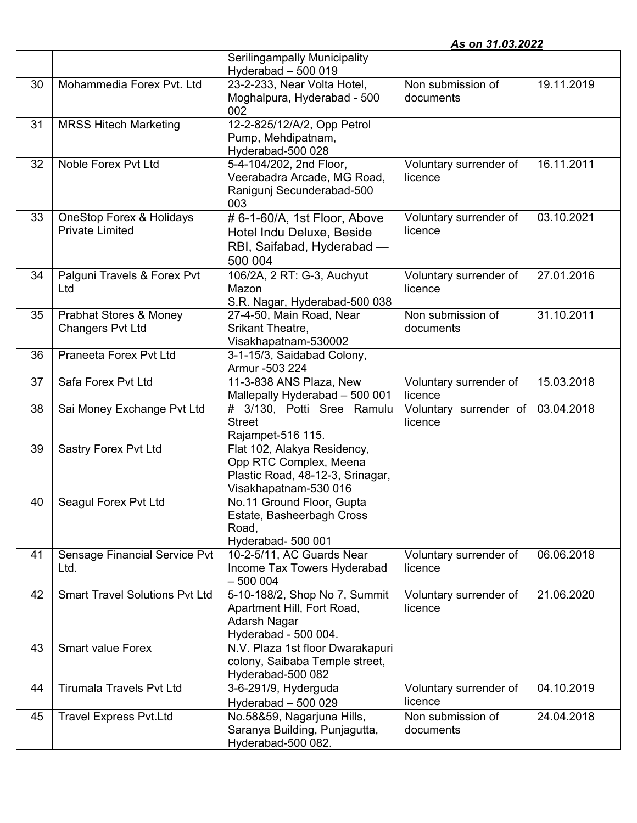|  | As on 31.03.2022 |  |
|--|------------------|--|
|  |                  |  |

|    |                                       | <b>Serilingampally Municipality</b>                 |                        |            |
|----|---------------------------------------|-----------------------------------------------------|------------------------|------------|
|    |                                       | Hyderabad $-500019$                                 |                        |            |
| 30 | Mohammedia Forex Pvt. Ltd             | 23-2-233, Near Volta Hotel,                         | Non submission of      | 19.11.2019 |
|    |                                       | Moghalpura, Hyderabad - 500                         | documents              |            |
|    |                                       | 002                                                 |                        |            |
| 31 | <b>MRSS Hitech Marketing</b>          | 12-2-825/12/A/2, Opp Petrol                         |                        |            |
|    |                                       | Pump, Mehdipatnam,                                  |                        |            |
|    |                                       | Hyderabad-500 028                                   |                        |            |
| 32 | Noble Forex Pvt Ltd                   | 5-4-104/202, 2nd Floor,                             | Voluntary surrender of | 16.11.2011 |
|    |                                       | Veerabadra Arcade, MG Road,                         | licence                |            |
|    |                                       | Ranigunj Secunderabad-500                           |                        |            |
|    |                                       | 003                                                 |                        |            |
| 33 | <b>OneStop Forex &amp; Holidays</b>   | # 6-1-60/A, 1st Floor, Above                        | Voluntary surrender of | 03.10.2021 |
|    | <b>Private Limited</b>                | Hotel Indu Deluxe, Beside                           | licence                |            |
|    |                                       | RBI, Saifabad, Hyderabad -                          |                        |            |
|    |                                       | 500 004                                             |                        |            |
| 34 | Palguni Travels & Forex Pvt           | 106/2A, 2 RT: G-3, Auchyut                          | Voluntary surrender of | 27.01.2016 |
|    | Ltd                                   | Mazon                                               | licence                |            |
|    |                                       | S.R. Nagar, Hyderabad-500 038                       |                        |            |
| 35 | Prabhat Stores & Money                | 27-4-50, Main Road, Near                            | Non submission of      | 31.10.2011 |
|    | <b>Changers Pvt Ltd</b>               | Srikant Theatre,                                    | documents              |            |
|    |                                       | Visakhapatnam-530002                                |                        |            |
| 36 | Praneeta Forex Pvt Ltd                | 3-1-15/3, Saidabad Colony,                          |                        |            |
|    |                                       | Armur -503 224                                      |                        |            |
| 37 | Safa Forex Pvt Ltd                    | 11-3-838 ANS Plaza, New                             | Voluntary surrender of | 15.03.2018 |
|    |                                       | Mallepally Hyderabad - 500 001                      | licence                |            |
| 38 | Sai Money Exchange Pvt Ltd            | # 3/130, Potti Sree Ramulu                          | Voluntary surrender of | 03.04.2018 |
|    |                                       | <b>Street</b>                                       | licence                |            |
|    |                                       | Rajampet-516 115.                                   |                        |            |
|    |                                       |                                                     |                        |            |
| 39 | Sastry Forex Pvt Ltd                  | Flat 102, Alakya Residency,                         |                        |            |
|    |                                       | Opp RTC Complex, Meena                              |                        |            |
|    |                                       | Plastic Road, 48-12-3, Srinagar,                    |                        |            |
|    |                                       | Visakhapatnam-530 016                               |                        |            |
| 40 | Seagul Forex Pvt Ltd                  | No.11 Ground Floor, Gupta                           |                        |            |
|    |                                       | Estate, Basheerbagh Cross                           |                        |            |
|    |                                       | Road,                                               |                        |            |
|    |                                       | Hyderabad- 500 001                                  |                        |            |
| 41 | Sensage Financial Service Pvt         | 10-2-5/11, AC Guards Near                           | Voluntary surrender of | 06.06.2018 |
|    | Ltd.                                  | Income Tax Towers Hyderabad                         | licence                |            |
|    |                                       | $-500004$                                           |                        |            |
| 42 | <b>Smart Travel Solutions Pvt Ltd</b> | 5-10-188/2, Shop No 7, Summit                       | Voluntary surrender of | 21.06.2020 |
|    |                                       | Apartment Hill, Fort Road,                          | licence                |            |
|    |                                       | Adarsh Nagar                                        |                        |            |
|    |                                       | Hyderabad - 500 004.                                |                        |            |
| 43 | <b>Smart value Forex</b>              | N.V. Plaza 1st floor Dwarakapuri                    |                        |            |
|    |                                       | colony, Saibaba Temple street,                      |                        |            |
|    |                                       | Hyderabad-500 082                                   |                        |            |
| 44 | <b>Tirumala Travels Pvt Ltd</b>       | 3-6-291/9, Hyderguda                                | Voluntary surrender of | 04.10.2019 |
|    |                                       | Hyderabad $-500029$                                 | licence                |            |
| 45 | <b>Travel Express Pvt.Ltd</b>         | No.58&59, Nagarjuna Hills,                          | Non submission of      | 24.04.2018 |
|    |                                       | Saranya Building, Punjagutta,<br>Hyderabad-500 082. | documents              |            |